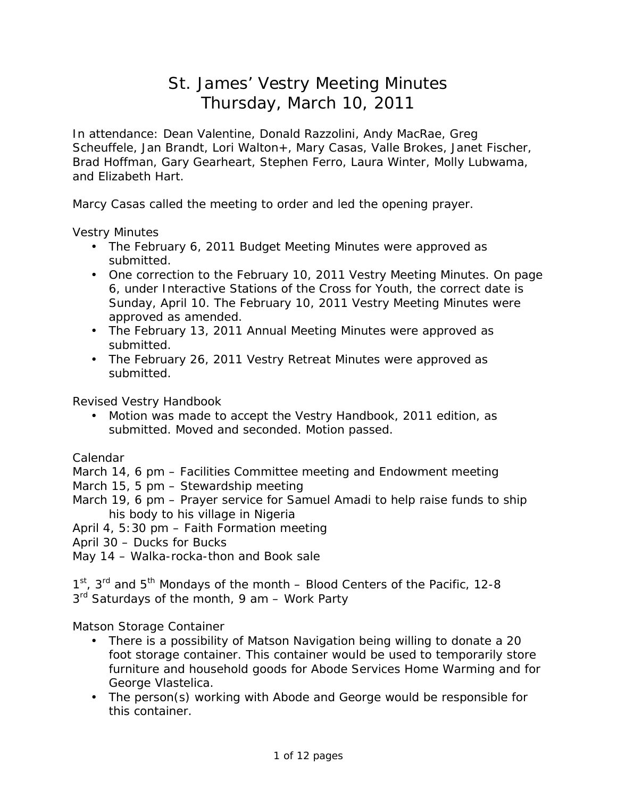# St. James' Vestry Meeting Minutes Thursday, March 10, 2011

In attendance: Dean Valentine, Donald Razzolini, Andy MacRae, Greg Scheuffele, Jan Brandt, Lori Walton+, Mary Casas, Valle Brokes, Janet Fischer, Brad Hoffman, Gary Gearheart, Stephen Ferro, Laura Winter, Molly Lubwama, and Elizabeth Hart.

Marcy Casas called the meeting to order and led the opening prayer.

Vestry Minutes

- The February 6, 2011 Budget Meeting Minutes were approved as submitted.
- One correction to the February 10, 2011 Vestry Meeting Minutes. On page 6, under Interactive Stations of the Cross for Youth, the correct date is Sunday, April 10. The February 10, 2011 Vestry Meeting Minutes were approved as amended.
- The February 13, 2011 Annual Meeting Minutes were approved as submitted.
- The February 26, 2011 Vestry Retreat Minutes were approved as submitted.

Revised Vestry Handbook

• Motion was made to accept the Vestry Handbook, 2011 edition, as submitted. Moved and seconded. Motion passed.

Calendar

March 14, 6 pm – Facilities Committee meeting and Endowment meeting

March 15, 5 pm – Stewardship meeting

March 19, 6 pm – Prayer service for Samuel Amadi to help raise funds to ship his body to his village in Nigeria

April 4, 5:30 pm – Faith Formation meeting

April 30 – Ducks for Bucks

May 14 – Walka-rocka-thon and Book sale

1<sup>st</sup>, 3<sup>rd</sup> and 5<sup>th</sup> Mondays of the month – Blood Centers of the Pacific, 12-8 3<sup>rd</sup> Saturdays of the month, 9 am - Work Party

Matson Storage Container

- There is a possibility of Matson Navigation being willing to donate a 20 foot storage container. This container would be used to temporarily store furniture and household goods for Abode Services Home Warming and for George Vlastelica.
- The person(s) working with Abode and George would be responsible for this container.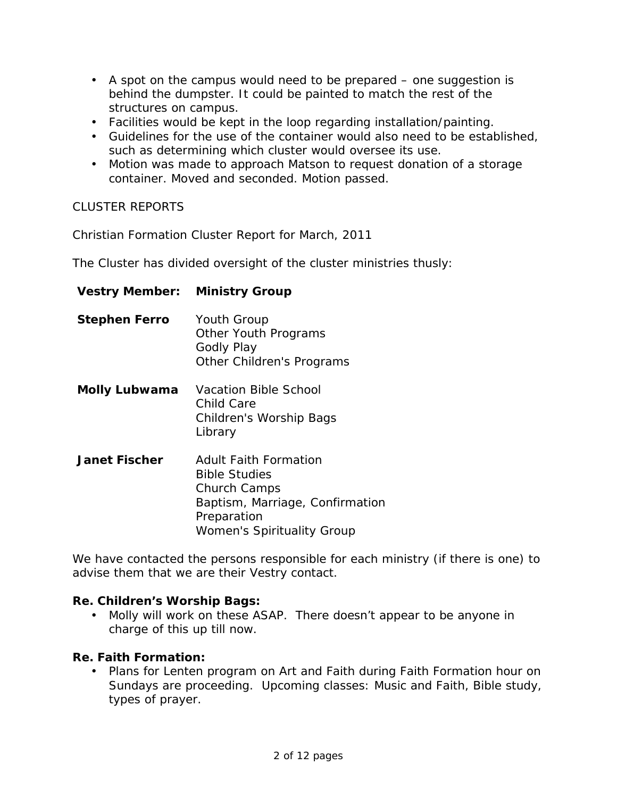- A spot on the campus would need to be prepared one suggestion is behind the dumpster. It could be painted to match the rest of the structures on campus.
- Facilities would be kept in the loop regarding installation/painting.
- Guidelines for the use of the container would also need to be established, such as determining which cluster would oversee its use.
- Motion was made to approach Matson to request donation of a storage container. Moved and seconded. Motion passed.

# CLUSTER REPORTS

Christian Formation Cluster Report for March, 2011

The Cluster has divided oversight of the cluster ministries thusly:

| <b>Vestry Member: Ministry Group</b> |                                                                                                                                                                    |
|--------------------------------------|--------------------------------------------------------------------------------------------------------------------------------------------------------------------|
| <b>Stephen Ferro</b>                 | <b>Youth Group</b><br><b>Other Youth Programs</b><br><b>Godly Play</b><br><b>Other Children's Programs</b>                                                         |
| Molly Lubwama                        | <b>Vacation Bible School</b><br>Child Care<br><b>Children's Worship Bags</b><br>Library                                                                            |
| <b>Janet Fischer</b>                 | <b>Adult Faith Formation</b><br><b>Bible Studies</b><br><b>Church Camps</b><br>Baptism, Marriage, Confirmation<br>Preparation<br><b>Women's Spirituality Group</b> |

We have contacted the persons responsible for each ministry (if there is one) to advise them that we are their Vestry contact.

# **Re. Children's Worship Bags:**

• Molly will work on these ASAP. There doesn't appear to be anyone in charge of this up till now.

# **Re. Faith Formation:**

• Plans for Lenten program on Art and Faith during Faith Formation hour on Sundays are proceeding. Upcoming classes: Music and Faith, Bible study, types of prayer.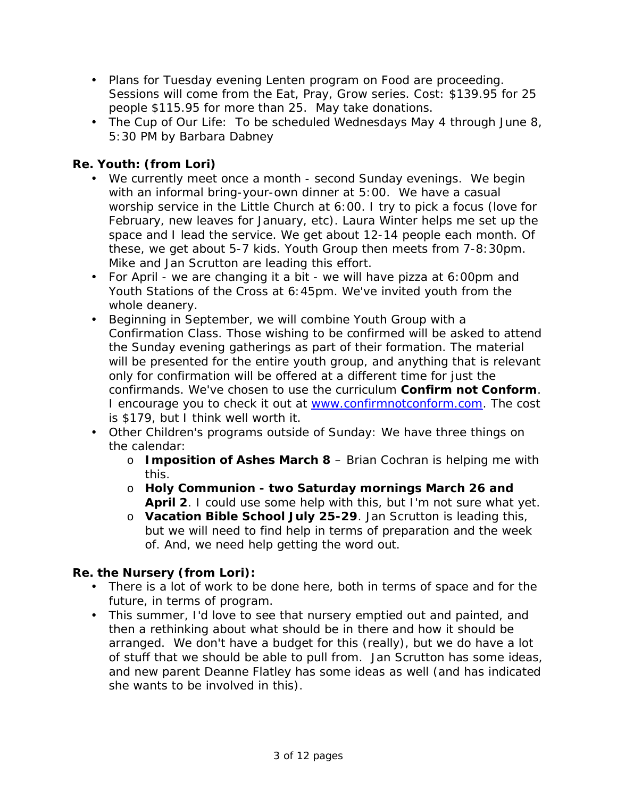- Plans for Tuesday evening Lenten program on Food are proceeding. Sessions will come from the *Eat, Pray, Grow* series. Cost: \$139.95 for 25 people \$115.95 for more than 25. May take donations.
- The Cup of Our Life:To be scheduled Wednesdays May 4 through June 8, 5:30 PM by Barbara Dabney

**Re. Youth: (from Lori)** 

- We currently meet once a month second Sunday evenings. We begin with an informal bring-your-own dinner at 5:00. We have a casual worship service in the Little Church at 6:00. I try to pick a focus (love for February, new leaves for January, etc). Laura Winter helps me set up the space and I lead the service. We get about 12-14 people each month. Of these, we get about 5-7 kids. Youth Group then meets from 7-8:30pm. Mike and Jan Scrutton are leading this effort.
- *For April* we are changing it a bit we will have pizza at 6:00pm and Youth Stations of the Cross at 6:45pm. We've invited youth from the whole deanery.
- Beginning in September, we will combine Youth Group with a Confirmation Class. Those wishing to be confirmed will be asked to attend the Sunday evening gatherings as part of their formation. The material will be presented for the entire youth group, and anything that is relevant only for confirmation will be offered at a different time for just the confirmands. We've chosen to use the curriculum **Confirm not Conform**. I encourage you to check it out at [www.confirmnotconform.com](http://www.confirmnotconform.com). The cost is \$179, but I think well worth it.
- Other Children's programs outside of Sunday: We have three things on the calendar:
	- o **Imposition of Ashes March 8**  Brian Cochran is helping me with this.
	- o **Holy Communion - two Saturday mornings March 26 and April 2**. I could use some help with this, but I'm not sure what yet.
	- o **Vacation Bible School July 25-29**. Jan Scrutton is leading this, but we will need to find help in terms of preparation and the week of. And, we need help getting the word out.

**Re. the Nursery (from Lori):** 

- There is a lot of work to be done here, both in terms of space and for the future, in terms of program.
- This summer, I'd love to see that nursery emptied out and painted, and then a rethinking about what should be in there and how it should be arranged. We don't have a budget for this (really), but we do have a lot of stuff that we should be able to pull from. Jan Scrutton has some ideas, and new parent Deanne Flatley has some ideas as well (and has indicated she wants to be involved in this).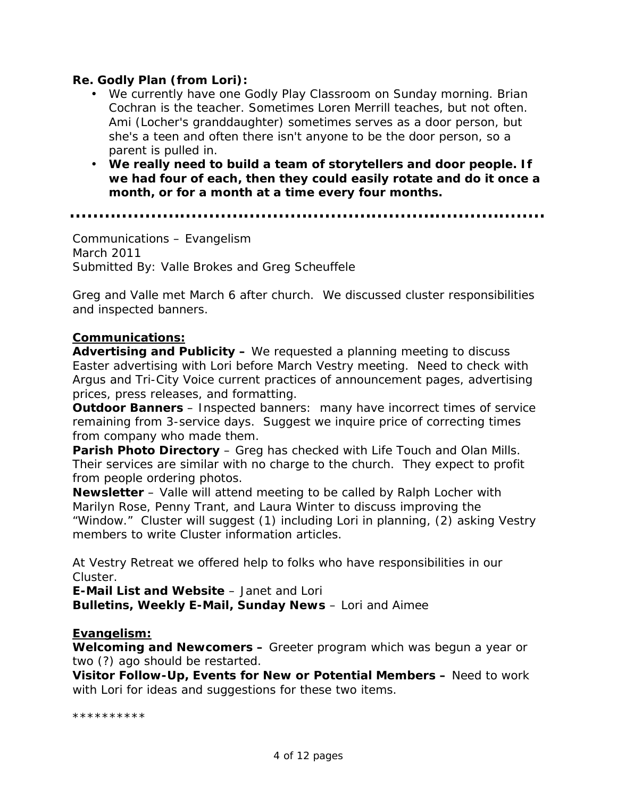### **Re. Godly Plan (from Lori):**

- We currently have one Godly Play Classroom on Sunday morning. Brian Cochran is the teacher. Sometimes Loren Merrill teaches, but not often. Ami (Locher's granddaughter) sometimes serves as a door person, but she's a teen and often there isn't anyone to be the door person, so a parent is pulled in.
- **We really need to build a team of storytellers and door people. If we had four of each, then they could easily rotate and do it once a month, or for a month at a time every four months.**

Communications – Evangelism March 2011 Submitted By: Valle Brokes and Greg Scheuffele

Greg and Valle met March 6 after church. We discussed cluster responsibilities and inspected banners.

#### **Communications:**

**Advertising and Publicity –** We requested a planning meeting to discuss Easter advertising with Lori before March Vestry meeting. Need to check with Argus and Tri-City Voice current practices of announcement pages, advertising prices, press releases, and formatting.

**Outdoor Banners** – Inspected banners: many have incorrect times of service remaining from 3-service days. Suggest we inquire price of correcting times from company who made them.

**Parish Photo Directory** – Greg has checked with Life Touch and Olan Mills. Their services are similar with no charge to the church. They expect to profit from people ordering photos.

**Newsletter** – Valle will attend meeting to be called by Ralph Locher with Marilyn Rose, Penny Trant, and Laura Winter to discuss improving the "Window." Cluster will suggest (1) including Lori in planning, (2) asking Vestry members to write Cluster information articles.

At Vestry Retreat we offered help to folks who have responsibilities in our Cluster.

**E-Mail List and Website** – Janet and Lori **Bulletins, Weekly E-Mail, Sunday News** – Lori and Aimee

#### **Evangelism:**

**Welcoming and Newcomers –** Greeter program which was begun a year or two (?) ago should be restarted.

**Visitor Follow-Up, Events for New or Potential Members –** Need to work with Lori for ideas and suggestions for these two items.

\*\*\*\*\*\*\*\*\*\*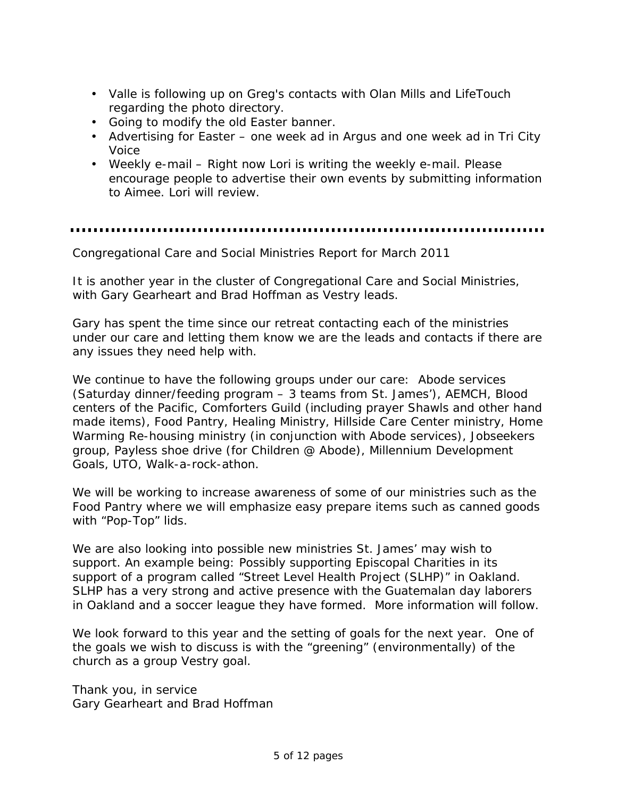- Valle is following up on Greg's contacts with Olan Mills and LifeTouch regarding the photo directory.
- Going to modify the old Easter banner.
- Advertising for Easter one week ad in Argus and one week ad in Tri City Voice
- Weekly e-mail Right now Lori is writing the weekly e-mail. Please encourage people to advertise their own events by submitting information to Aimee. Lori will review.

Congregational Care and Social Ministries Report for March 2011

It is another year in the cluster of Congregational Care and Social Ministries, with Gary Gearheart and Brad Hoffman as Vestry leads.

Gary has spent the time since our retreat contacting each of the ministries under our care and letting them know we are the leads and contacts if there are any issues they need help with.

We continue to have the following groups under our care: Abode services (Saturday dinner/feeding program – 3 teams from St. James'), AEMCH, Blood centers of the Pacific, Comforters Guild (including prayer Shawls and other hand made items), Food Pantry, Healing Ministry, Hillside Care Center ministry, Home Warming Re-housing ministry (in conjunction with Abode services), Jobseekers group, Payless shoe drive (for Children @ Abode), Millennium Development Goals, UTO, Walk-a-rock-athon.

We will be working to increase awareness of some of our ministries such as the Food Pantry where we will emphasize easy prepare items such as canned goods with "Pop-Top" lids.

We are also looking into possible new ministries St. James' may wish to support. An example being: Possibly supporting Episcopal Charities in its support of a program called "Street Level Health Project (SLHP)" in Oakland. SLHP has a very strong and active presence with the Guatemalan day laborers in Oakland and a soccer league they have formed. More information will follow.

We look forward to this year and the setting of goals for the next year. One of the goals we wish to discuss is with the "greening" (environmentally) of the church as a group Vestry goal.

Thank you, in service Gary Gearheart and Brad Hoffman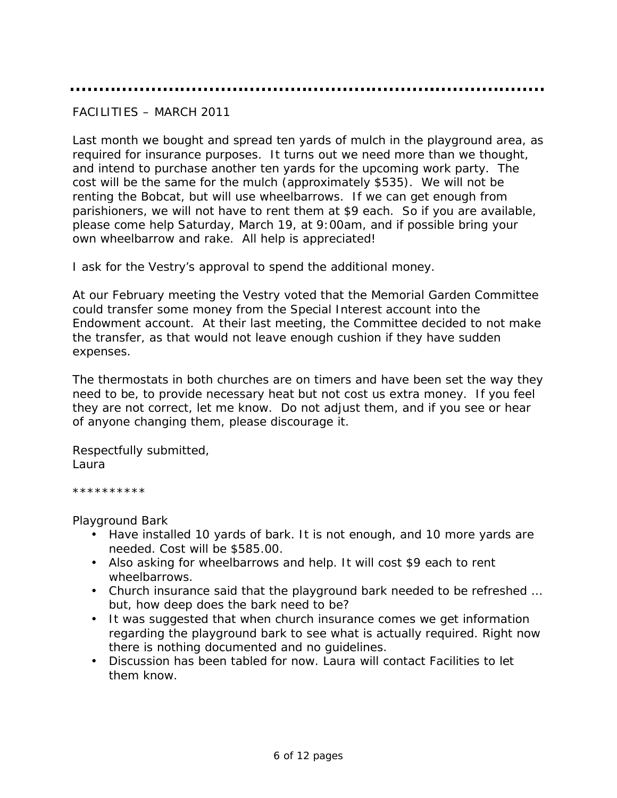### FACILITIES – MARCH 2011

Last month we bought and spread ten yards of mulch in the playground area, as required for insurance purposes. It turns out we need more than we thought, and intend to purchase another ten yards for the upcoming work party. The cost will be the same for the mulch (approximately \$535). We will not be renting the Bobcat, but will use wheelbarrows. If we can get enough from parishioners, we will not have to rent them at \$9 each. So if you are available, please come help Saturday, March 19, at 9:00am, and if possible bring your own wheelbarrow and rake. All help is appreciated!

I ask for the Vestry's approval to spend the additional money.

At our February meeting the Vestry voted that the Memorial Garden Committee could transfer some money from the Special Interest account into the Endowment account. At their last meeting, the Committee decided to not make the transfer, as that would not leave enough cushion if they have sudden expenses.

The thermostats in both churches are on timers and have been set the way they need to be, to provide necessary heat but not cost us extra money. If you feel they are not correct, let me know. Do not adjust them, and if you see or hear of anyone changing them, please discourage it.

Respectfully submitted, Laura

\*\*\*\*\*\*\*\*\*\*

Playground Bark

- Have installed 10 yards of bark. It is not enough, and 10 more yards are needed. Cost will be \$585.00.
- Also asking for wheelbarrows and help. It will cost \$9 each to rent wheelbarrows.
- Church insurance said that the playground bark needed to be refreshed … but, how deep does the bark need to be?
- It was suggested that when church insurance comes we get information regarding the playground bark to see what is actually required. Right now there is nothing documented and no guidelines.
- Discussion has been tabled for now. Laura will contact Facilities to let them know.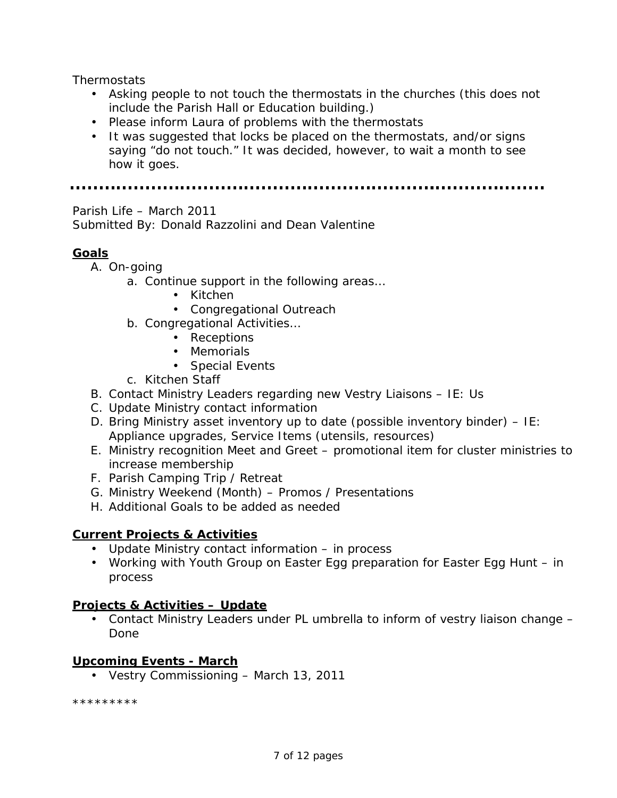**Thermostats** 

- Asking people to not touch the thermostats in the churches (this does not include the Parish Hall or Education building.)
- Please inform Laura of problems with the thermostats
- It was suggested that locks be placed on the thermostats, and/or signs saying "do not touch." It was decided, however, to wait a month to see how it goes.

Parish Life – March 2011

Submitted By: Donald Razzolini and Dean Valentine

### **Goals**

- A. On-going
	- a. Continue support in the following areas…
		- Kitchen
		- Congregational Outreach
	- b. Congregational Activities…
		- Receptions
		- Memorials
		- Special Events
	- c. Kitchen Staff
- B. Contact Ministry Leaders regarding new Vestry Liaisons IE: Us
- C. Update Ministry contact information
- D. Bring Ministry asset inventory up to date (possible inventory binder) IE: Appliance upgrades, Service Items (utensils, resources)
- E. Ministry recognition Meet and Greet promotional item for cluster ministries to increase membership
- F. Parish Camping Trip / Retreat
- G. Ministry Weekend (Month) Promos / Presentations
- H. Additional Goals to be added as needed

#### **Current Projects & Activities**

- Update Ministry contact information in process
- Working with Youth Group on Easter Egg preparation for Easter Egg Hunt in process

#### **Projects & Activities – Update**

• Contact Ministry Leaders under PL umbrella to inform of vestry liaison change – Done

#### **Upcoming Events - March**

• Vestry Commissioning – March 13, 2011

\*\*\*\*\*\*\*\*\*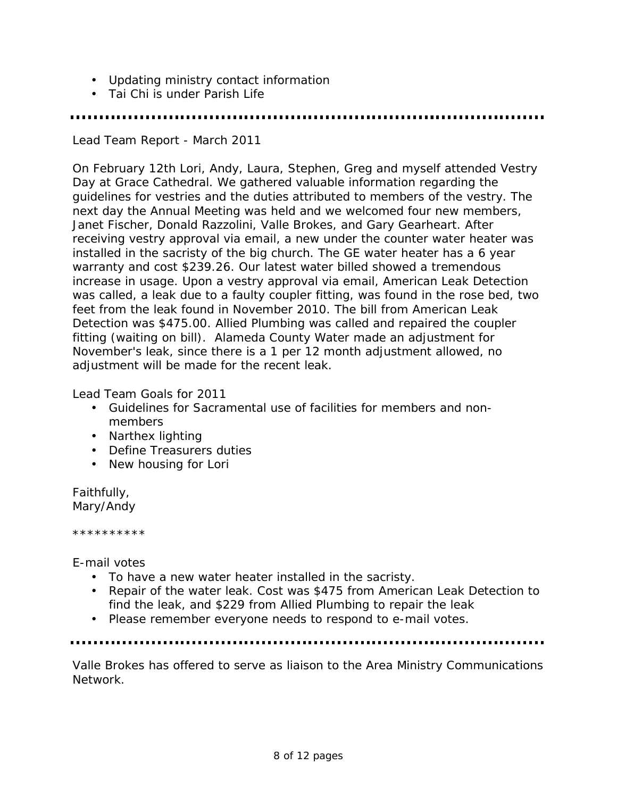- Updating ministry contact information
- Tai Chi is under Parish Life

Lead Team Report - March 2011

On February 12th Lori, Andy, Laura, Stephen, Greg and myself attended Vestry Day at Grace Cathedral. We gathered valuable information regarding the guidelines for vestries and the duties attributed to members of the vestry. The next day the Annual Meeting was held and we welcomed four new members, Janet Fischer, Donald Razzolini, Valle Brokes, and Gary Gearheart. After receiving vestry approval via email, a new under the counter water heater was installed in the sacristy of the big church. The GE water heater has a 6 year warranty and cost \$239.26. Our latest water billed showed a tremendous increase in usage. Upon a vestry approval via email, American Leak Detection was called, a leak due to a faulty coupler fitting, was found in the rose bed, two feet from the leak found in November 2010. The bill from American Leak Detection was \$475.00. Allied Plumbing was called and repaired the coupler fitting (waiting on bill). Alameda County Water made an adjustment for November's leak, since there is a 1 per 12 month adjustment allowed, no adjustment will be made for the recent leak.

Lead Team Goals for 2011

- Guidelines for Sacramental use of facilities for members and nonmembers
- Narthex lighting
- Define Treasurers duties
- New housing for Lori

Faithfully, Mary/Andy

\*\*\*\*\*\*\*\*\*\*

E-mail votes

- To have a new water heater installed in the sacristy.
- Repair of the water leak. Cost was \$475 from American Leak Detection to find the leak, and \$229 from Allied Plumbing to repair the leak
- Please remember everyone needs to respond to e-mail votes.

Valle Brokes has offered to serve as liaison to the Area Ministry Communications Network.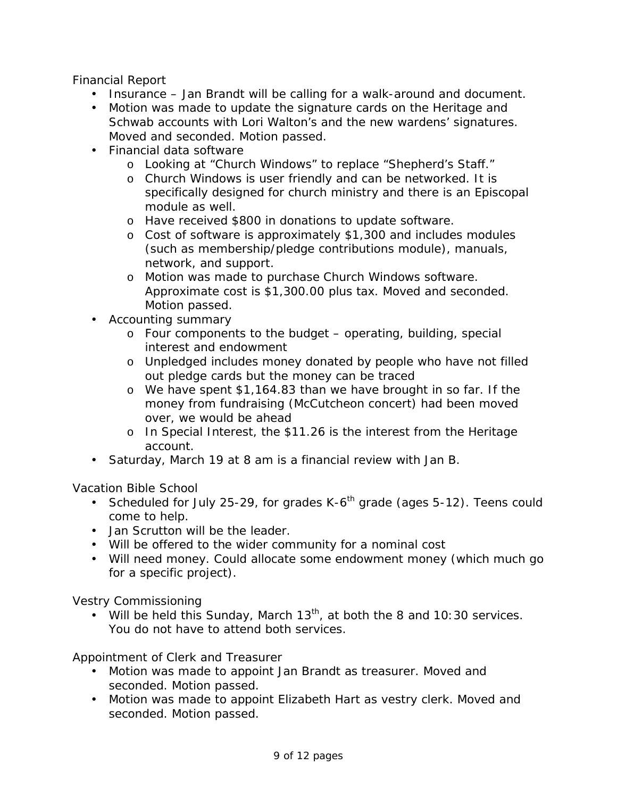Financial Report

- Insurance Jan Brandt will be calling for a walk-around and document.
- Motion was made to update the signature cards on the Heritage and Schwab accounts with Lori Walton's and the new wardens' signatures. Moved and seconded. Motion passed.
- Financial data software
	- o Looking at "Church Windows" to replace "Shepherd's Staff."
	- o Church Windows is user friendly and can be networked. It is specifically designed for church ministry and there is an Episcopal module as well.
	- o Have received \$800 in donations to update software.
	- o Cost of software is approximately \$1,300 and includes modules (such as membership/pledge contributions module), manuals, network, and support.
	- o Motion was made to purchase Church Windows software. Approximate cost is \$1,300.00 plus tax. Moved and seconded. Motion passed.
- Accounting summary
	- $\circ$  Four components to the budget operating, building, special interest and endowment
	- o Unpledged includes money donated by people who have not filled out pledge cards but the money can be traced
	- o We have spent \$1,164.83 than we have brought in so far. If the money from fundraising (McCutcheon concert) had been moved over, we would be ahead
	- o In Special Interest, the \$11.26 is the interest from the Heritage account.
- Saturday, March 19 at 8 am is a financial review with Jan B.

Vacation Bible School

- Scheduled for July 25-29, for grades  $K-6<sup>th</sup>$  grade (ages 5-12). Teens could come to help.
- Jan Scrutton will be the leader.
- Will be offered to the wider community for a nominal cost
- Will need money. Could allocate some endowment money (which much go for a specific project).

Vestry Commissioning

• Will be held this Sunday, March  $13<sup>th</sup>$ , at both the 8 and 10:30 services. You do not have to attend both services.

Appointment of Clerk and Treasurer

- Motion was made to appoint Jan Brandt as treasurer. Moved and seconded. Motion passed.
- Motion was made to appoint Elizabeth Hart as vestry clerk. Moved and seconded. Motion passed.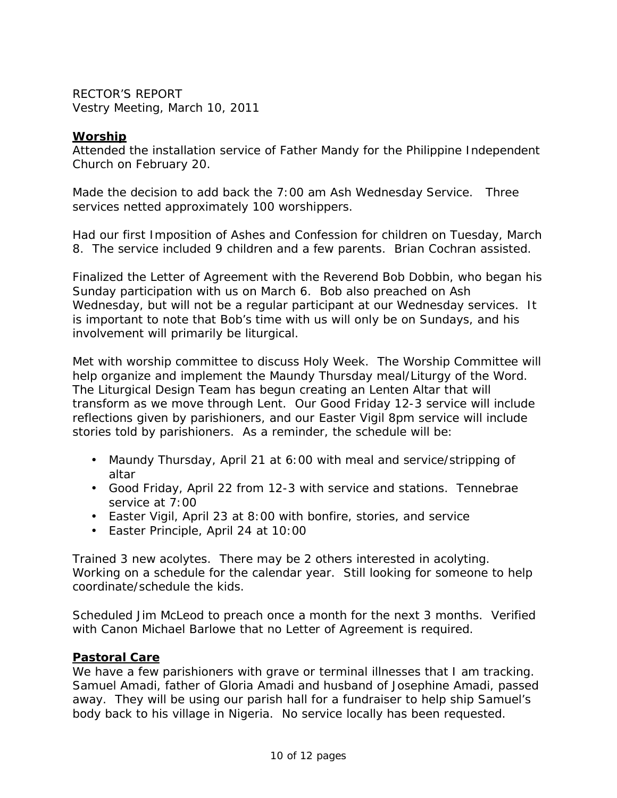RECTOR'S REPORT Vestry Meeting, March 10, 2011

### **Worship**

Attended the installation service of Father Mandy for the Philippine Independent Church on February 20.

Made the decision to add back the 7:00 am Ash Wednesday Service. Three services netted approximately 100 worshippers.

Had our first Imposition of Ashes and Confession for children on Tuesday, March 8. The service included 9 children and a few parents. Brian Cochran assisted.

Finalized the Letter of Agreement with the Reverend Bob Dobbin, who began his Sunday participation with us on March 6. Bob also preached on Ash Wednesday, but will not be a regular participant at our Wednesday services. It is important to note that Bob's time with us will only be on Sundays, and his involvement will primarily be liturgical.

Met with worship committee to discuss Holy Week. The Worship Committee will help organize and implement the Maundy Thursday meal/Liturgy of the Word. The Liturgical Design Team has begun creating an Lenten Altar that will transform as we move through Lent. Our Good Friday 12-3 service will include reflections given by parishioners, and our Easter Vigil 8pm service will include stories told by parishioners. As a reminder, the schedule will be:

- Maundy Thursday, April 21 at 6:00 with meal and service/stripping of altar
- Good Friday, April 22 from 12-3 with service and stations. Tennebrae service at 7:00
- Easter Vigil, April 23 at 8:00 with bonfire, stories, and service
- Easter Principle, April 24 at 10:00

Trained 3 new acolytes. There may be 2 others interested in acolyting. Working on a schedule for the calendar year. Still looking for someone to help coordinate/schedule the kids.

Scheduled Jim McLeod to preach once a month for the next 3 months. Verified with Canon Michael Barlowe that no Letter of Agreement is required.

#### **Pastoral Care**

We have a few parishioners with grave or terminal illnesses that I am tracking. Samuel Amadi, father of Gloria Amadi and husband of Josephine Amadi, passed away. They will be using our parish hall for a fundraiser to help ship Samuel's body back to his village in Nigeria. No service locally has been requested.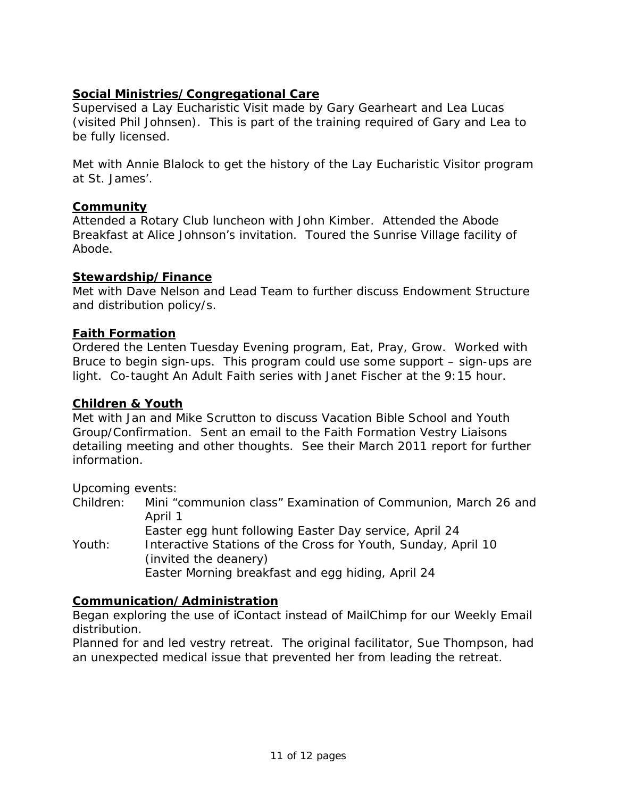# **Social Ministries/Congregational Care**

Supervised a Lay Eucharistic Visit made by Gary Gearheart and Lea Lucas (visited Phil Johnsen). This is part of the training required of Gary and Lea to be fully licensed.

Met with Annie Blalock to get the history of the Lay Eucharistic Visitor program at St. James'.

### **Community**

Attended a Rotary Club luncheon with John Kimber. Attended the Abode Breakfast at Alice Johnson's invitation. Toured the Sunrise Village facility of Abode.

### **Stewardship/Finance**

Met with Dave Nelson and Lead Team to further discuss Endowment Structure and distribution policy/s.

### **Faith Formation**

Ordered the Lenten Tuesday Evening program, Eat, Pray, Grow. Worked with Bruce to begin sign-ups. This program could use some support – sign-ups are light. Co-taught An Adult Faith series with Janet Fischer at the 9:15 hour.

#### **Children & Youth**

Met with Jan and Mike Scrutton to discuss Vacation Bible School and Youth Group/Confirmation. Sent an email to the Faith Formation Vestry Liaisons detailing meeting and other thoughts. See their March 2011 report for further information.

Upcoming events:

Children: Mini "communion class" Examination of Communion, March 26 and April 1 Easter egg hunt following Easter Day service, April 24

Youth: Interactive Stations of the Cross for Youth, Sunday, April 10 (invited the deanery) Easter Morning breakfast and egg hiding, April 24

### **Communication/Administration**

Began exploring the use of iContact instead of MailChimp for our Weekly Email distribution.

Planned for and led vestry retreat. The original facilitator, Sue Thompson, had an unexpected medical issue that prevented her from leading the retreat.